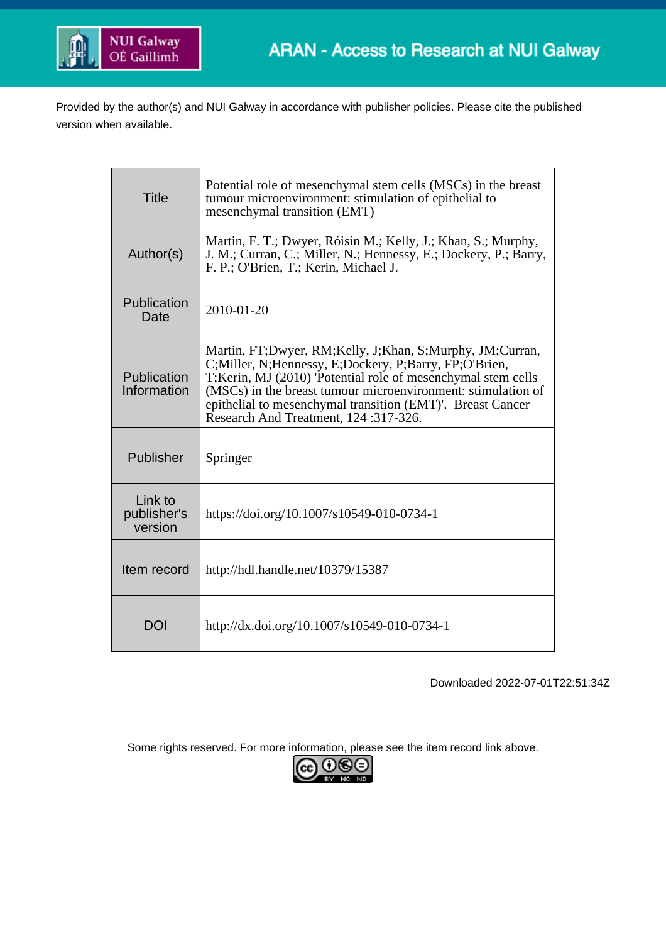

Provided by the author(s) and NUI Galway in accordance with publisher policies. Please cite the published version when available.

| Title                             | Potential role of mesenchymal stem cells (MSCs) in the breast<br>tumour microenvironment: stimulation of epithelial to<br>mesenchymal transition (EMT)                                                                                                                                                                                                        |  |  |  |
|-----------------------------------|---------------------------------------------------------------------------------------------------------------------------------------------------------------------------------------------------------------------------------------------------------------------------------------------------------------------------------------------------------------|--|--|--|
| Author(s)                         | Martin, F. T.; Dwyer, Róisín M.; Kelly, J.; Khan, S.; Murphy,<br>J. M.; Curran, C.; Miller, N.; Hennessy, E.; Dockery, P.; Barry,<br>F. P.; O'Brien, T.; Kerin, Michael J.                                                                                                                                                                                    |  |  |  |
| Publication<br>Date               | $2010 - 01 - 20$                                                                                                                                                                                                                                                                                                                                              |  |  |  |
| Publication<br>Information        | Martin, FT;Dwyer, RM;Kelly, J;Khan, S;Murphy, JM;Curran,<br>C; Miller, N; Hennessy, E; Dockery, P; Barry, FP; O'Brien,<br>T; Kerin, MJ (2010) 'Potential role of mesenchymal stem cells<br>(MSCs) in the breast tumour microenvironment: stimulation of<br>epithelial to mesenchymal transition (EMT)'. Breast Cancer<br>Research And Treatment, 124:317-326. |  |  |  |
| Publisher                         | Springer                                                                                                                                                                                                                                                                                                                                                      |  |  |  |
| Link to<br>publisher's<br>version | https://doi.org/10.1007/s10549-010-0734-1                                                                                                                                                                                                                                                                                                                     |  |  |  |
| Item record                       | http://hdl.handle.net/10379/15387                                                                                                                                                                                                                                                                                                                             |  |  |  |
| <b>DOI</b>                        | http://dx.doi.org/10.1007/s10549-010-0734-1                                                                                                                                                                                                                                                                                                                   |  |  |  |

Downloaded 2022-07-01T22:51:34Z

Some rights reserved. For more information, please see the item record link above.

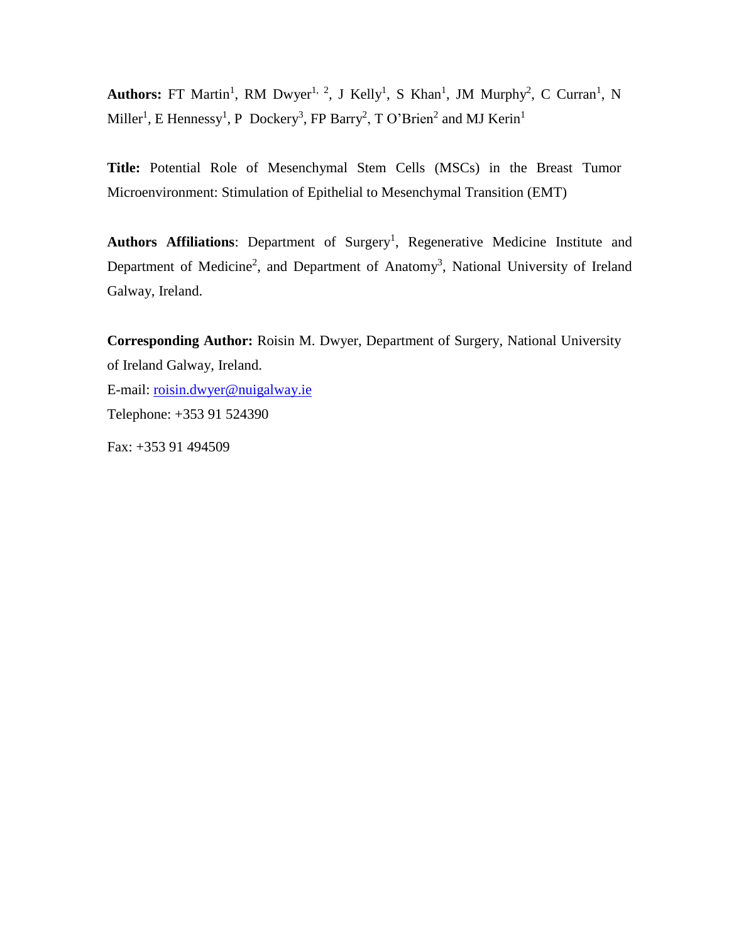Authors: FT Martin<sup>1</sup>, RM Dwyer<sup>1, 2</sup>, J Kelly<sup>1</sup>, S Khan<sup>1</sup>, JM Murphy<sup>2</sup>, C Curran<sup>1</sup>, N Miller<sup>1</sup>, E Hennessy<sup>1</sup>, P Dockery<sup>3</sup>, FP Barry<sup>2</sup>, T O'Brien<sup>2</sup> and MJ Kerin<sup>1</sup>

**Title:** Potential Role of Mesenchymal Stem Cells (MSCs) in the Breast Tumor Microenvironment: Stimulation of Epithelial to Mesenchymal Transition (EMT)

Authors Affiliations: Department of Surgery<sup>1</sup>, Regenerative Medicine Institute and Department of Medicine<sup>2</sup>, and Department of Anatomy<sup>3</sup>, National University of Ireland Galway, Ireland.

**Corresponding Author:** Roisin M. Dwyer, Department of Surgery, National University of Ireland Galway, Ireland.

E-mail: [roisin.dwyer@nuigalway.ie](mailto:roisin.dwyer@nuigalway.ie) Telephone: +353 91 524390

Fax: +353 91 494509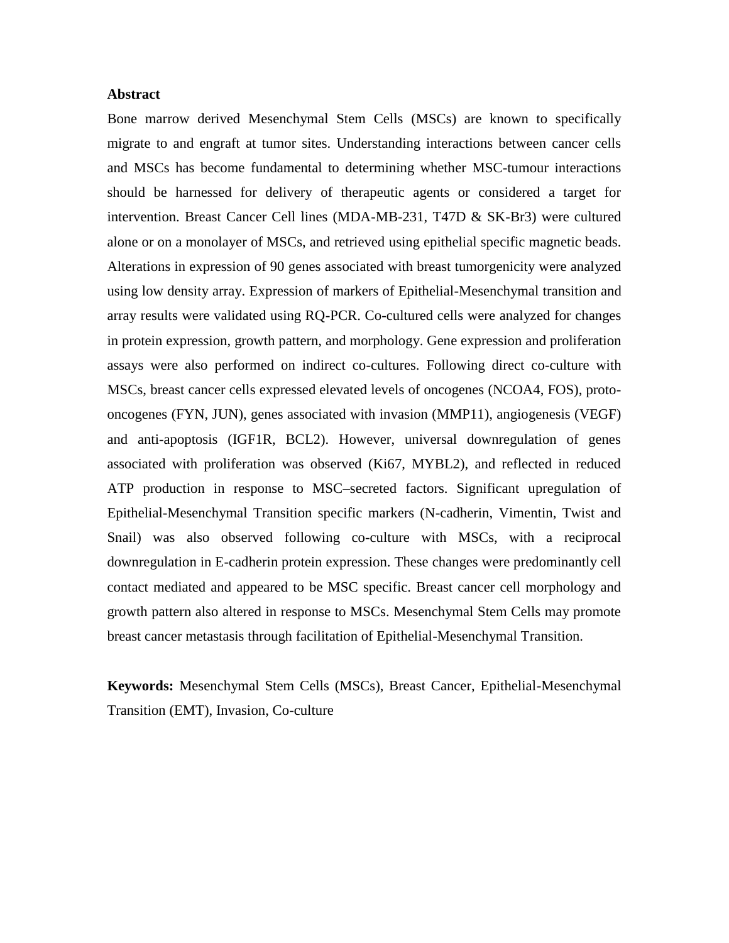## **Abstract**

Bone marrow derived Mesenchymal Stem Cells (MSCs) are known to specifically migrate to and engraft at tumor sites. Understanding interactions between cancer cells and MSCs has become fundamental to determining whether MSC-tumour interactions should be harnessed for delivery of therapeutic agents or considered a target for intervention. Breast Cancer Cell lines (MDA-MB-231, T47D & SK-Br3) were cultured alone or on a monolayer of MSCs, and retrieved using epithelial specific magnetic beads. Alterations in expression of 90 genes associated with breast tumorgenicity were analyzed using low density array. Expression of markers of Epithelial-Mesenchymal transition and array results were validated using RQ-PCR. Co-cultured cells were analyzed for changes in protein expression, growth pattern, and morphology. Gene expression and proliferation assays were also performed on indirect co-cultures. Following direct co-culture with MSCs, breast cancer cells expressed elevated levels of oncogenes (NCOA4, FOS), protooncogenes (FYN, JUN), genes associated with invasion (MMP11), angiogenesis (VEGF) and anti-apoptosis (IGF1R, BCL2). However, universal downregulation of genes associated with proliferation was observed (Ki67, MYBL2), and reflected in reduced ATP production in response to MSC–secreted factors. Significant upregulation of Epithelial-Mesenchymal Transition specific markers (N-cadherin, Vimentin, Twist and Snail) was also observed following co-culture with MSCs, with a reciprocal downregulation in E-cadherin protein expression. These changes were predominantly cell contact mediated and appeared to be MSC specific. Breast cancer cell morphology and growth pattern also altered in response to MSCs. Mesenchymal Stem Cells may promote breast cancer metastasis through facilitation of Epithelial-Mesenchymal Transition.

**Keywords:** Mesenchymal Stem Cells (MSCs), Breast Cancer, Epithelial-Mesenchymal Transition (EMT), Invasion, Co-culture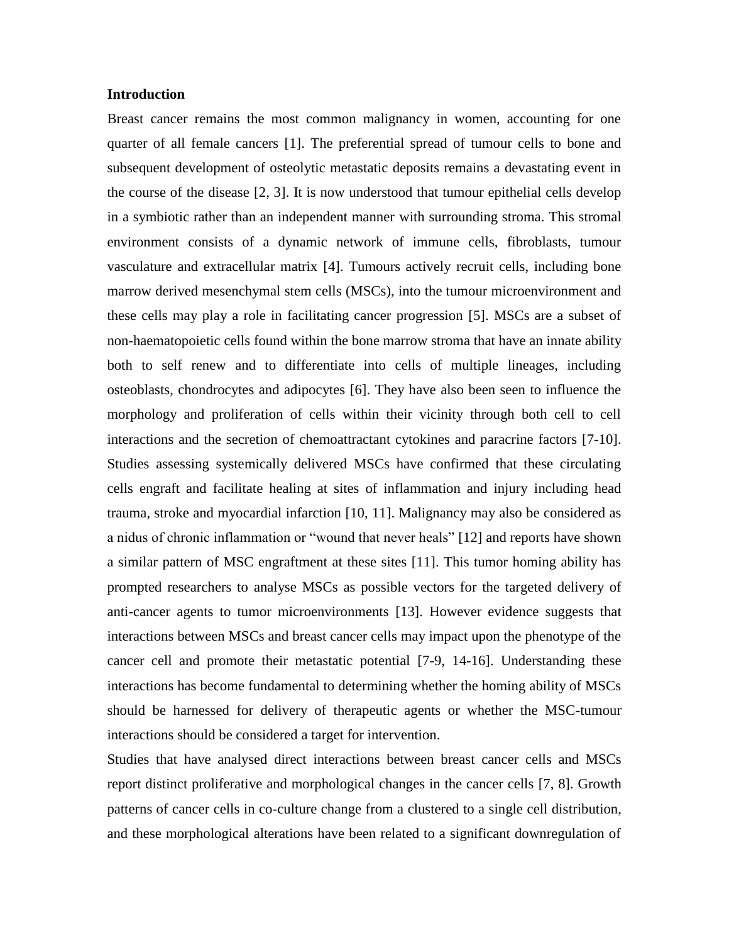## **Introduction**

Breast cancer remains the most common malignancy in women, accounting for one quarter of all female cancers [1]. The preferential spread of tumour cells to bone and subsequent development of osteolytic metastatic deposits remains a devastating event in the course of the disease [2, 3]. It is now understood that tumour epithelial cells develop in a symbiotic rather than an independent manner with surrounding stroma. This stromal environment consists of a dynamic network of immune cells, fibroblasts, tumour vasculature and extracellular matrix [4]. Tumours actively recruit cells, including bone marrow derived mesenchymal stem cells (MSCs), into the tumour microenvironment and these cells may play a role in facilitating cancer progression [5]. MSCs are a subset of non-haematopoietic cells found within the bone marrow stroma that have an innate ability both to self renew and to differentiate into cells of multiple lineages, including osteoblasts, chondrocytes and adipocytes [6]. They have also been seen to influence the morphology and proliferation of cells within their vicinity through both cell to cell interactions and the secretion of chemoattractant cytokines and paracrine factors [7-10]. Studies assessing systemically delivered MSCs have confirmed that these circulating cells engraft and facilitate healing at sites of inflammation and injury including head trauma, stroke and myocardial infarction [10, 11]. Malignancy may also be considered as a nidus of chronic inflammation or "wound that never heals" [12] and reports have shown a similar pattern of MSC engraftment at these sites [11]. This tumor homing ability has prompted researchers to analyse MSCs as possible vectors for the targeted delivery of anti-cancer agents to tumor microenvironments [13]. However evidence suggests that interactions between MSCs and breast cancer cells may impact upon the phenotype of the cancer cell and promote their metastatic potential [7-9, 14-16]. Understanding these interactions has become fundamental to determining whether the homing ability of MSCs should be harnessed for delivery of therapeutic agents or whether the MSC-tumour interactions should be considered a target for intervention.

Studies that have analysed direct interactions between breast cancer cells and MSCs report distinct proliferative and morphological changes in the cancer cells [7, 8]. Growth patterns of cancer cells in co-culture change from a clustered to a single cell distribution, and these morphological alterations have been related to a significant downregulation of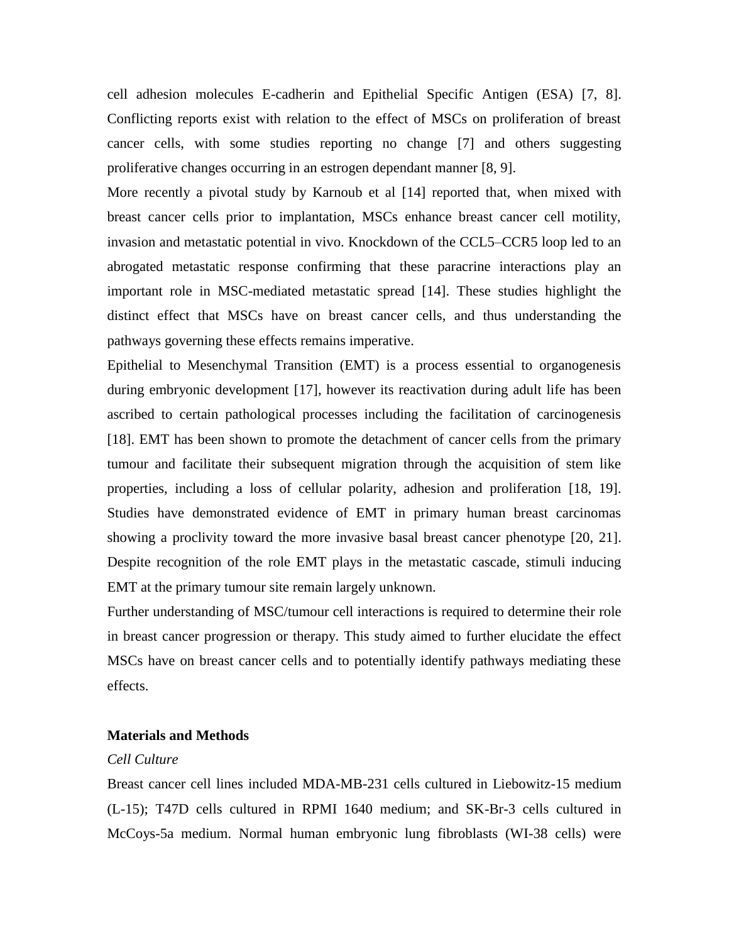cell adhesion molecules E-cadherin and Epithelial Specific Antigen (ESA) [7, 8]. Conflicting reports exist with relation to the effect of MSCs on proliferation of breast cancer cells, with some studies reporting no change [7] and others suggesting proliferative changes occurring in an estrogen dependant manner [8, 9].

More recently a pivotal study by Karnoub et al [14] reported that, when mixed with breast cancer cells prior to implantation, MSCs enhance breast cancer cell motility, invasion and metastatic potential in vivo. Knockdown of the CCL5–CCR5 loop led to an abrogated metastatic response confirming that these paracrine interactions play an important role in MSC-mediated metastatic spread [14]. These studies highlight the distinct effect that MSCs have on breast cancer cells, and thus understanding the pathways governing these effects remains imperative.

Epithelial to Mesenchymal Transition (EMT) is a process essential to organogenesis during embryonic development [17], however its reactivation during adult life has been ascribed to certain pathological processes including the facilitation of carcinogenesis [18]. EMT has been shown to promote the detachment of cancer cells from the primary tumour and facilitate their subsequent migration through the acquisition of stem like properties, including a loss of cellular polarity, adhesion and proliferation [18, 19]. Studies have demonstrated evidence of EMT in primary human breast carcinomas showing a proclivity toward the more invasive basal breast cancer phenotype [20, 21]. Despite recognition of the role EMT plays in the metastatic cascade, stimuli inducing EMT at the primary tumour site remain largely unknown.

Further understanding of MSC/tumour cell interactions is required to determine their role in breast cancer progression or therapy. This study aimed to further elucidate the effect MSCs have on breast cancer cells and to potentially identify pathways mediating these effects.

## **Materials and Methods**

# *Cell Culture*

Breast cancer cell lines included MDA-MB-231 cells cultured in Liebowitz-15 medium (L-15); T47D cells cultured in RPMI 1640 medium; and SK-Br-3 cells cultured in McCoys-5a medium. Normal human embryonic lung fibroblasts (WI-38 cells) were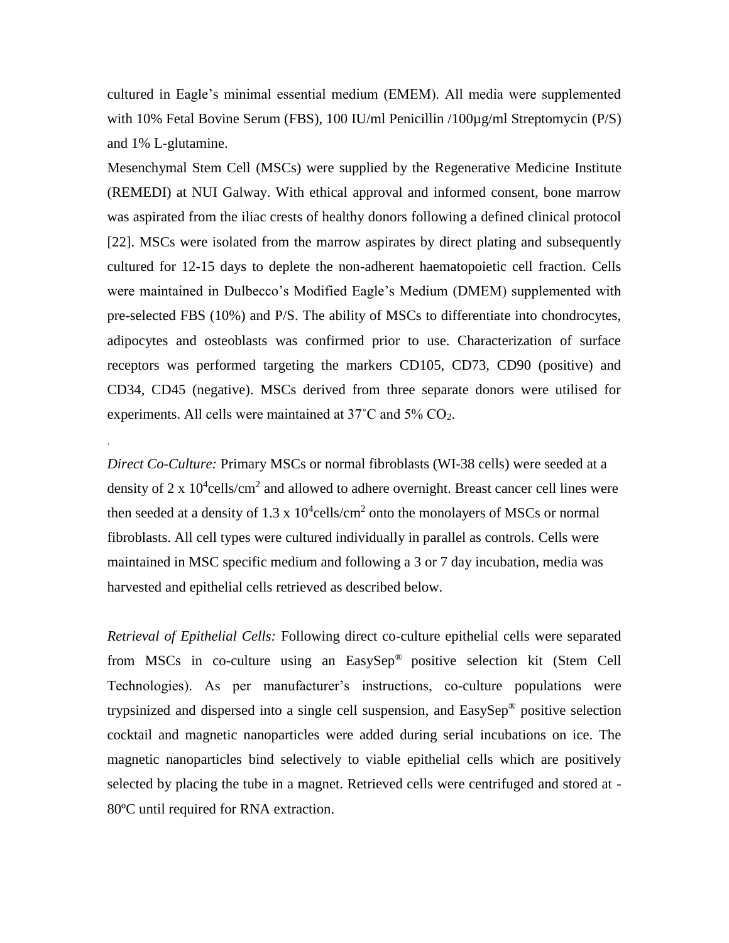cultured in Eagle's minimal essential medium (EMEM). All media were supplemented with 10% Fetal Bovine Serum (FBS), 100 IU/ml Penicillin /100µg/ml Streptomycin (P/S) and 1% L-glutamine.

Mesenchymal Stem Cell (MSCs) were supplied by the Regenerative Medicine Institute (REMEDI) at NUI Galway. With ethical approval and informed consent, bone marrow was aspirated from the iliac crests of healthy donors following a defined clinical protocol [22]. MSCs were isolated from the marrow aspirates by direct plating and subsequently cultured for 12-15 days to deplete the non-adherent haematopoietic cell fraction. Cells were maintained in Dulbecco's Modified Eagle's Medium (DMEM) supplemented with pre-selected FBS (10%) and P/S. The ability of MSCs to differentiate into chondrocytes, adipocytes and osteoblasts was confirmed prior to use. Characterization of surface receptors was performed targeting the markers CD105, CD73, CD90 (positive) and CD34, CD45 (negative). MSCs derived from three separate donors were utilised for experiments. All cells were maintained at 37˚C and 5% CO2.

*Direct Co-Culture:* Primary MSCs or normal fibroblasts (WI-38 cells) were seeded at a density of 2 x  $10^4$ cells/cm<sup>2</sup> and allowed to adhere overnight. Breast cancer cell lines were then seeded at a density of 1.3 x  $10^4$ cells/cm<sup>2</sup> onto the monolayers of MSCs or normal fibroblasts. All cell types were cultured individually in parallel as controls. Cells were maintained in MSC specific medium and following a 3 or 7 day incubation, media was harvested and epithelial cells retrieved as described below.

.

*Retrieval of Epithelial Cells:* Following direct co-culture epithelial cells were separated from MSCs in co-culture using an EasySep® positive selection kit (Stem Cell Technologies). As per manufacturer's instructions, co-culture populations were trypsinized and dispersed into a single cell suspension, and EasySep® positive selection cocktail and magnetic nanoparticles were added during serial incubations on ice. The magnetic nanoparticles bind selectively to viable epithelial cells which are positively selected by placing the tube in a magnet. Retrieved cells were centrifuged and stored at - 80ºC until required for RNA extraction.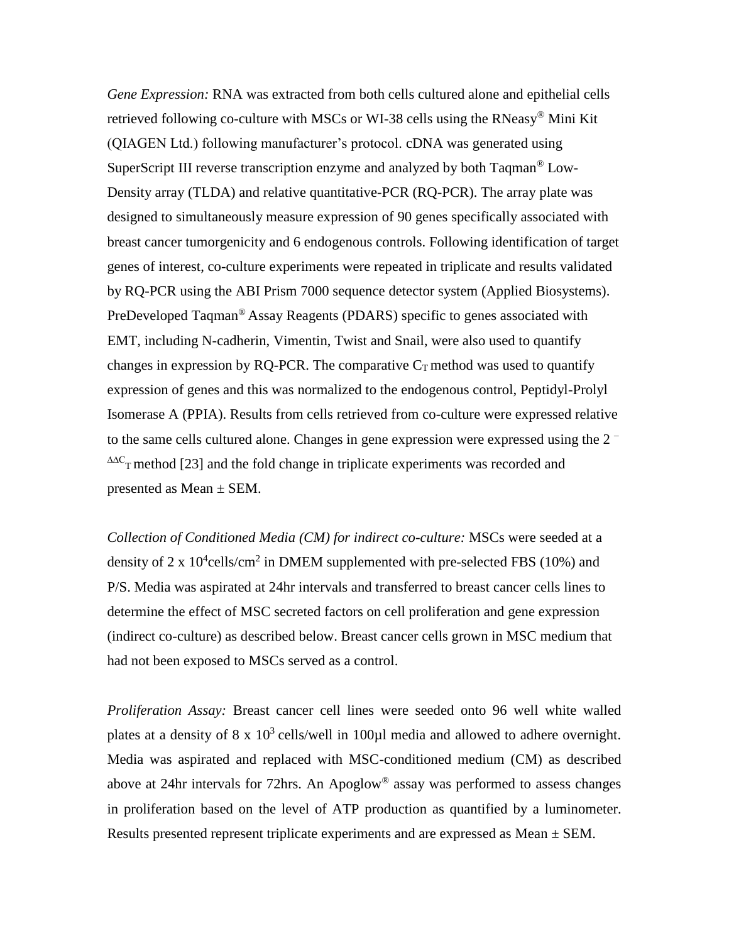*Gene Expression:* RNA was extracted from both cells cultured alone and epithelial cells retrieved following co-culture with MSCs or WI-38 cells using the RNeasy® Mini Kit (QIAGEN Ltd.) following manufacturer's protocol. cDNA was generated using SuperScript III reverse transcription enzyme and analyzed by both Taqman® Low-Density array (TLDA) and relative quantitative-PCR (RQ-PCR). The array plate was designed to simultaneously measure expression of 90 genes specifically associated with breast cancer tumorgenicity and 6 endogenous controls. Following identification of target genes of interest, co-culture experiments were repeated in triplicate and results validated by RQ-PCR using the ABI Prism 7000 sequence detector system (Applied Biosystems). PreDeveloped Taqman® Assay Reagents (PDARS) specific to genes associated with EMT, including N-cadherin, Vimentin, Twist and Snail, were also used to quantify changes in expression by RQ-PCR. The comparative  $C_T$  method was used to quantify expression of genes and this was normalized to the endogenous control, Peptidyl-Prolyl Isomerase A (PPIA). Results from cells retrieved from co-culture were expressed relative to the same cells cultured alone. Changes in gene expression were expressed using the 2 –  $\Delta\Delta C$ <sub>T</sub> method [23] and the fold change in triplicate experiments was recorded and presented as Mean ± SEM.

*Collection of Conditioned Media (CM) for indirect co-culture:* MSCs were seeded at a density of 2 x  $10^4$ cells/cm<sup>2</sup> in DMEM supplemented with pre-selected FBS (10%) and P/S. Media was aspirated at 24hr intervals and transferred to breast cancer cells lines to determine the effect of MSC secreted factors on cell proliferation and gene expression (indirect co-culture) as described below. Breast cancer cells grown in MSC medium that had not been exposed to MSCs served as a control.

*Proliferation Assay:* Breast cancer cell lines were seeded onto 96 well white walled plates at a density of  $8 \times 10^3$  cells/well in 100 $\mu$ l media and allowed to adhere overnight. Media was aspirated and replaced with MSC-conditioned medium (CM) as described above at 24hr intervals for 72hrs. An Apoglow® assay was performed to assess changes in proliferation based on the level of ATP production as quantified by a luminometer. Results presented represent triplicate experiments and are expressed as Mean  $\pm$  SEM.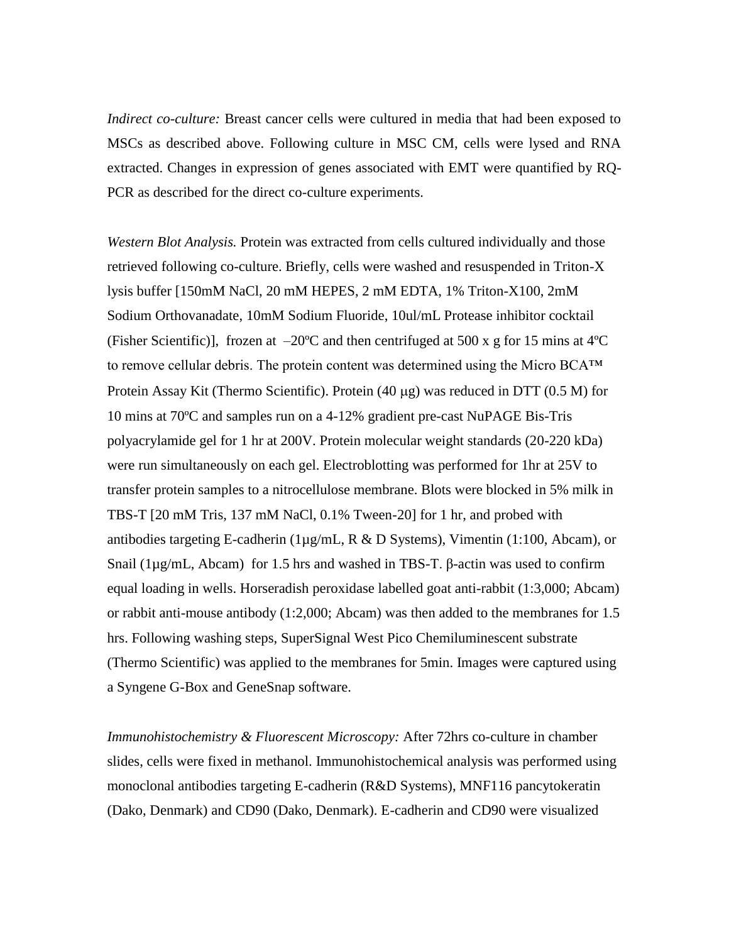*Indirect co-culture:* Breast cancer cells were cultured in media that had been exposed to MSCs as described above. Following culture in MSC CM, cells were lysed and RNA extracted. Changes in expression of genes associated with EMT were quantified by RQ-PCR as described for the direct co-culture experiments.

*Western Blot Analysis.* Protein was extracted from cells cultured individually and those retrieved following co-culture. Briefly, cells were washed and resuspended in Triton-X lysis buffer [150mM NaCl, 20 mM HEPES, 2 mM EDTA, 1% Triton-X100, 2mM Sodium Orthovanadate, 10mM Sodium Fluoride, 10ul/mL Protease inhibitor cocktail (Fisher Scientific)], frozen at  $-20^{\circ}$ C and then centrifuged at 500 x g for 15 mins at 4 $^{\circ}$ C to remove cellular debris. The protein content was determined using the Micro BCA™ Protein Assay Kit (Thermo Scientific). Protein  $(40 \mu g)$  was reduced in DTT  $(0.5 M)$  for 10 mins at 70ºC and samples run on a 4-12% gradient pre-cast NuPAGE Bis-Tris polyacrylamide gel for 1 hr at 200V. Protein molecular weight standards (20-220 kDa) were run simultaneously on each gel. Electroblotting was performed for 1hr at 25V to transfer protein samples to a nitrocellulose membrane. Blots were blocked in 5% milk in TBS-T [20 mM Tris, 137 mM NaCl, 0.1% Tween-20] for 1 hr, and probed with antibodies targeting E-cadherin ( $1\mu$ g/mL, R & D Systems), Vimentin (1:100, Abcam), or Snail (1µg/mL, Abcam) for 1.5 hrs and washed in TBS-T. β-actin was used to confirm equal loading in wells. Horseradish peroxidase labelled goat anti-rabbit (1:3,000; Abcam) or rabbit anti-mouse antibody (1:2,000; Abcam) was then added to the membranes for 1.5 hrs. Following washing steps, SuperSignal West Pico Chemiluminescent substrate (Thermo Scientific) was applied to the membranes for 5min. Images were captured using a Syngene G-Box and GeneSnap software.

*Immunohistochemistry & Fluorescent Microscopy:* After 72hrs co-culture in chamber slides, cells were fixed in methanol. Immunohistochemical analysis was performed using monoclonal antibodies targeting E-cadherin (R&D Systems), MNF116 pancytokeratin (Dako, Denmark) and CD90 (Dako, Denmark). E-cadherin and CD90 were visualized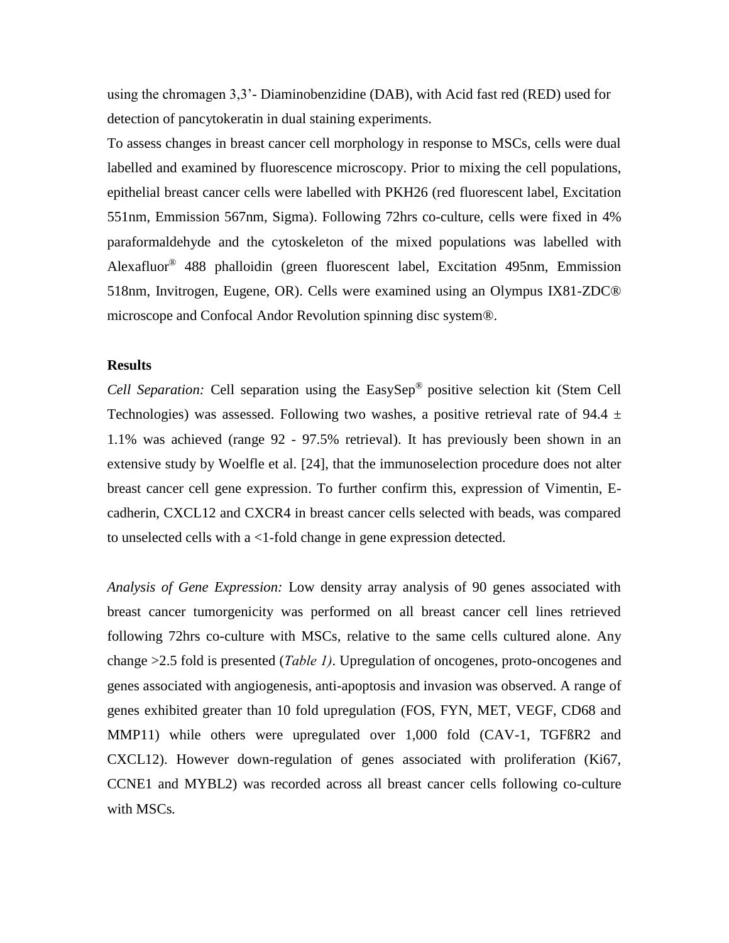using the chromagen 3,3'- Diaminobenzidine (DAB), with Acid fast red (RED) used for detection of pancytokeratin in dual staining experiments.

To assess changes in breast cancer cell morphology in response to MSCs, cells were dual labelled and examined by fluorescence microscopy. Prior to mixing the cell populations, epithelial breast cancer cells were labelled with PKH26 (red fluorescent label, Excitation 551nm, Emmission 567nm, Sigma). Following 72hrs co-culture, cells were fixed in 4% paraformaldehyde and the cytoskeleton of the mixed populations was labelled with Alexafluor® 488 phalloidin (green fluorescent label, Excitation 495nm, Emmission 518nm, Invitrogen, Eugene, OR). Cells were examined using an Olympus IX81-ZDC® microscope and Confocal Andor Revolution spinning disc system®.

#### **Results**

*Cell Separation:* Cell separation using the EasySep® positive selection kit (Stem Cell Technologies) was assessed. Following two washes, a positive retrieval rate of 94.4  $\pm$ 1.1% was achieved (range 92 - 97.5% retrieval). It has previously been shown in an extensive study by Woelfle et al. [24], that the immunoselection procedure does not alter breast cancer cell gene expression. To further confirm this, expression of Vimentin, Ecadherin, CXCL12 and CXCR4 in breast cancer cells selected with beads, was compared to unselected cells with a <1-fold change in gene expression detected.

*Analysis of Gene Expression:* Low density array analysis of 90 genes associated with breast cancer tumorgenicity was performed on all breast cancer cell lines retrieved following 72hrs co-culture with MSCs, relative to the same cells cultured alone. Any change >2.5 fold is presented (*Table 1)*. Upregulation of oncogenes, proto-oncogenes and genes associated with angiogenesis, anti-apoptosis and invasion was observed. A range of genes exhibited greater than 10 fold upregulation (FOS, FYN, MET, VEGF, CD68 and MMP11) while others were upregulated over 1,000 fold (CAV-1, TGFßR2 and CXCL12). However down-regulation of genes associated with proliferation (Ki67, CCNE1 and MYBL2) was recorded across all breast cancer cells following co-culture with MSCs*.*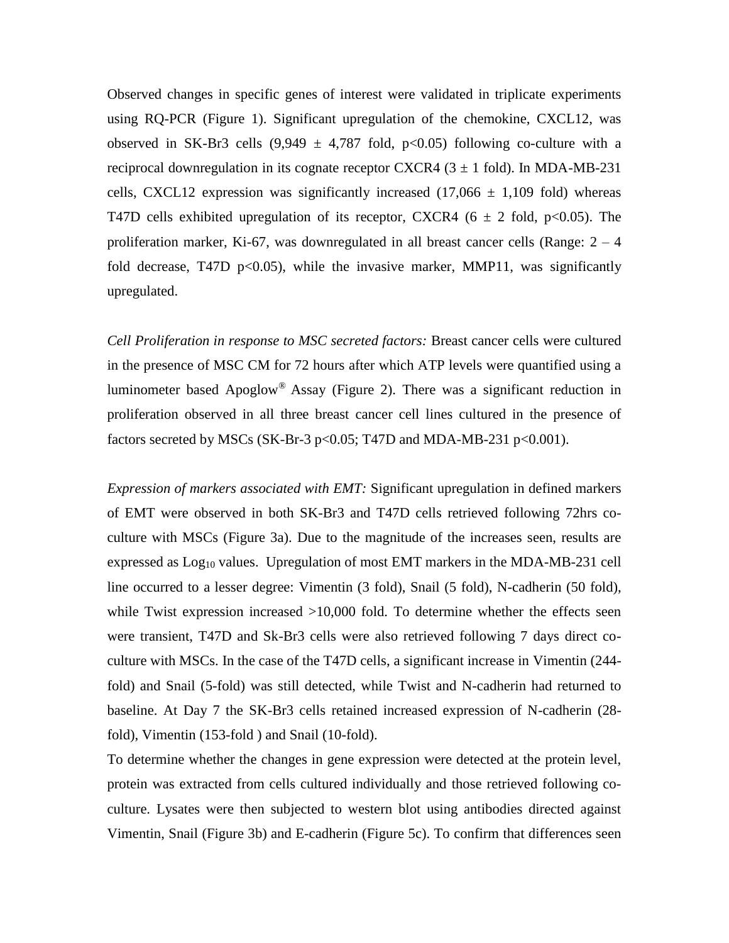Observed changes in specific genes of interest were validated in triplicate experiments using RQ-PCR (Figure 1). Significant upregulation of the chemokine, CXCL12, was observed in SK-Br3 cells  $(9,949 \pm 4,787 \text{ fold}, \text{ p} < 0.05)$  following co-culture with a reciprocal downregulation in its cognate receptor CXCR4  $(3 \pm 1 \text{ fold})$ . In MDA-MB-231 cells, CXCL12 expression was significantly increased  $(17,066 \pm 1,109)$  fold) whereas T47D cells exhibited upregulation of its receptor, CXCR4 ( $6 \pm 2$  fold, p<0.05). The proliferation marker, Ki-67, was downregulated in all breast cancer cells (Range:  $2 - 4$ ) fold decrease, T47D  $p<0.05$ ), while the invasive marker, MMP11, was significantly upregulated.

*Cell Proliferation in response to MSC secreted factors:* Breast cancer cells were cultured in the presence of MSC CM for 72 hours after which ATP levels were quantified using a luminometer based Apoglow® Assay (Figure 2). There was a significant reduction in proliferation observed in all three breast cancer cell lines cultured in the presence of factors secreted by MSCs (SK-Br-3 p<0.05; T47D and MDA-MB-231 p<0.001).

*Expression of markers associated with EMT:* Significant upregulation in defined markers of EMT were observed in both SK-Br3 and T47D cells retrieved following 72hrs coculture with MSCs (Figure 3a). Due to the magnitude of the increases seen, results are expressed as  $Log<sub>10</sub>$  values. Upregulation of most EMT markers in the MDA-MB-231 cell line occurred to a lesser degree: Vimentin (3 fold), Snail (5 fold), N-cadherin (50 fold), while Twist expression increased >10,000 fold. To determine whether the effects seen were transient, T47D and Sk-Br3 cells were also retrieved following 7 days direct coculture with MSCs. In the case of the T47D cells, a significant increase in Vimentin (244 fold) and Snail (5-fold) was still detected, while Twist and N-cadherin had returned to baseline. At Day 7 the SK-Br3 cells retained increased expression of N-cadherin (28 fold), Vimentin (153-fold ) and Snail (10-fold).

To determine whether the changes in gene expression were detected at the protein level, protein was extracted from cells cultured individually and those retrieved following coculture. Lysates were then subjected to western blot using antibodies directed against Vimentin, Snail (Figure 3b) and E-cadherin (Figure 5c). To confirm that differences seen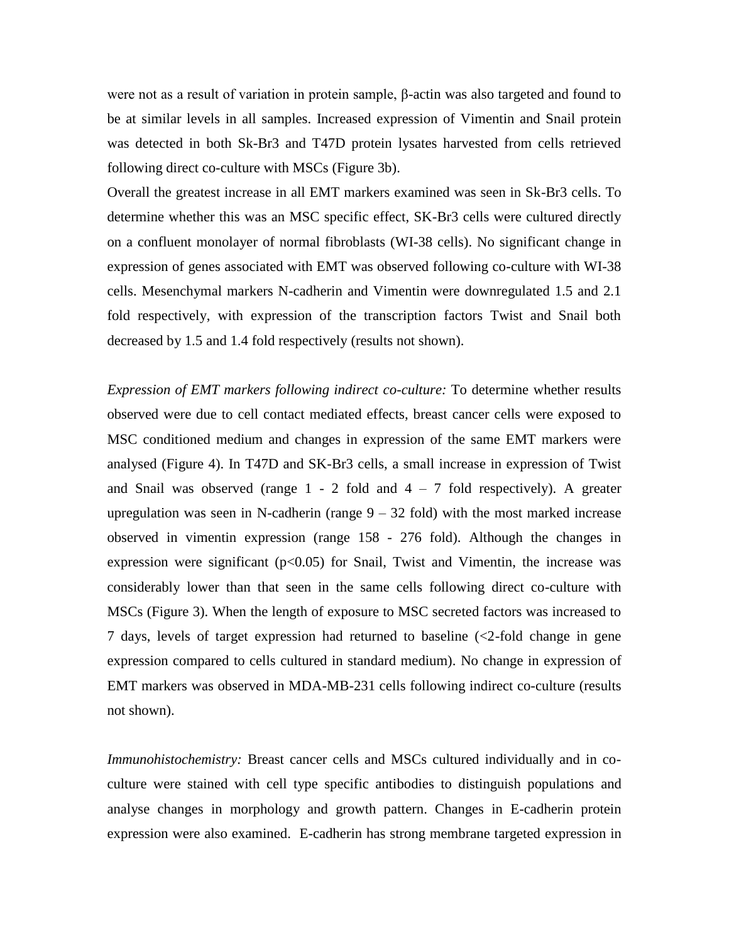were not as a result of variation in protein sample, β-actin was also targeted and found to be at similar levels in all samples. Increased expression of Vimentin and Snail protein was detected in both Sk-Br3 and T47D protein lysates harvested from cells retrieved following direct co-culture with MSCs (Figure 3b).

Overall the greatest increase in all EMT markers examined was seen in Sk-Br3 cells. To determine whether this was an MSC specific effect, SK-Br3 cells were cultured directly on a confluent monolayer of normal fibroblasts (WI-38 cells). No significant change in expression of genes associated with EMT was observed following co-culture with WI-38 cells. Mesenchymal markers N-cadherin and Vimentin were downregulated 1.5 and 2.1 fold respectively, with expression of the transcription factors Twist and Snail both decreased by 1.5 and 1.4 fold respectively (results not shown).

*Expression of EMT markers following indirect co-culture:* To determine whether results observed were due to cell contact mediated effects, breast cancer cells were exposed to MSC conditioned medium and changes in expression of the same EMT markers were analysed (Figure 4). In T47D and SK-Br3 cells, a small increase in expression of Twist and Snail was observed (range  $1 - 2$  fold and  $4 - 7$  fold respectively). A greater upregulation was seen in N-cadherin (range  $9 - 32$  fold) with the most marked increase observed in vimentin expression (range 158 - 276 fold). Although the changes in expression were significant  $(p<0.05)$  for Snail, Twist and Vimentin, the increase was considerably lower than that seen in the same cells following direct co-culture with MSCs (Figure 3). When the length of exposure to MSC secreted factors was increased to 7 days, levels of target expression had returned to baseline (<2-fold change in gene expression compared to cells cultured in standard medium). No change in expression of EMT markers was observed in MDA-MB-231 cells following indirect co-culture (results not shown).

*Immunohistochemistry:* Breast cancer cells and MSCs cultured individually and in coculture were stained with cell type specific antibodies to distinguish populations and analyse changes in morphology and growth pattern. Changes in E-cadherin protein expression were also examined. E-cadherin has strong membrane targeted expression in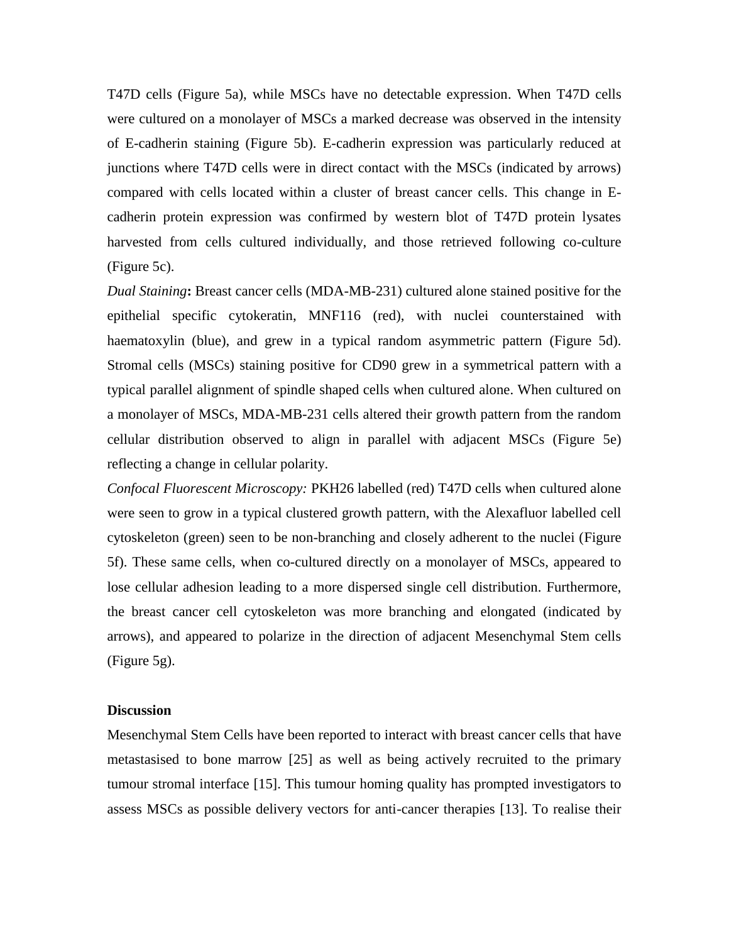T47D cells (Figure 5a), while MSCs have no detectable expression. When T47D cells were cultured on a monolayer of MSCs a marked decrease was observed in the intensity of E-cadherin staining (Figure 5b). E-cadherin expression was particularly reduced at junctions where T47D cells were in direct contact with the MSCs (indicated by arrows) compared with cells located within a cluster of breast cancer cells. This change in Ecadherin protein expression was confirmed by western blot of T47D protein lysates harvested from cells cultured individually, and those retrieved following co-culture (Figure 5c).

*Dual Staining***:** Breast cancer cells (MDA-MB-231) cultured alone stained positive for the epithelial specific cytokeratin, MNF116 (red), with nuclei counterstained with haematoxylin (blue), and grew in a typical random asymmetric pattern (Figure 5d). Stromal cells (MSCs) staining positive for CD90 grew in a symmetrical pattern with a typical parallel alignment of spindle shaped cells when cultured alone. When cultured on a monolayer of MSCs, MDA-MB-231 cells altered their growth pattern from the random cellular distribution observed to align in parallel with adjacent MSCs (Figure 5e) reflecting a change in cellular polarity.

*Confocal Fluorescent Microscopy:* PKH26 labelled (red) T47D cells when cultured alone were seen to grow in a typical clustered growth pattern, with the Alexafluor labelled cell cytoskeleton (green) seen to be non-branching and closely adherent to the nuclei (Figure 5f). These same cells, when co-cultured directly on a monolayer of MSCs, appeared to lose cellular adhesion leading to a more dispersed single cell distribution. Furthermore, the breast cancer cell cytoskeleton was more branching and elongated (indicated by arrows), and appeared to polarize in the direction of adjacent Mesenchymal Stem cells (Figure 5g).

### **Discussion**

Mesenchymal Stem Cells have been reported to interact with breast cancer cells that have metastasised to bone marrow [25] as well as being actively recruited to the primary tumour stromal interface [15]. This tumour homing quality has prompted investigators to assess MSCs as possible delivery vectors for anti-cancer therapies [13]. To realise their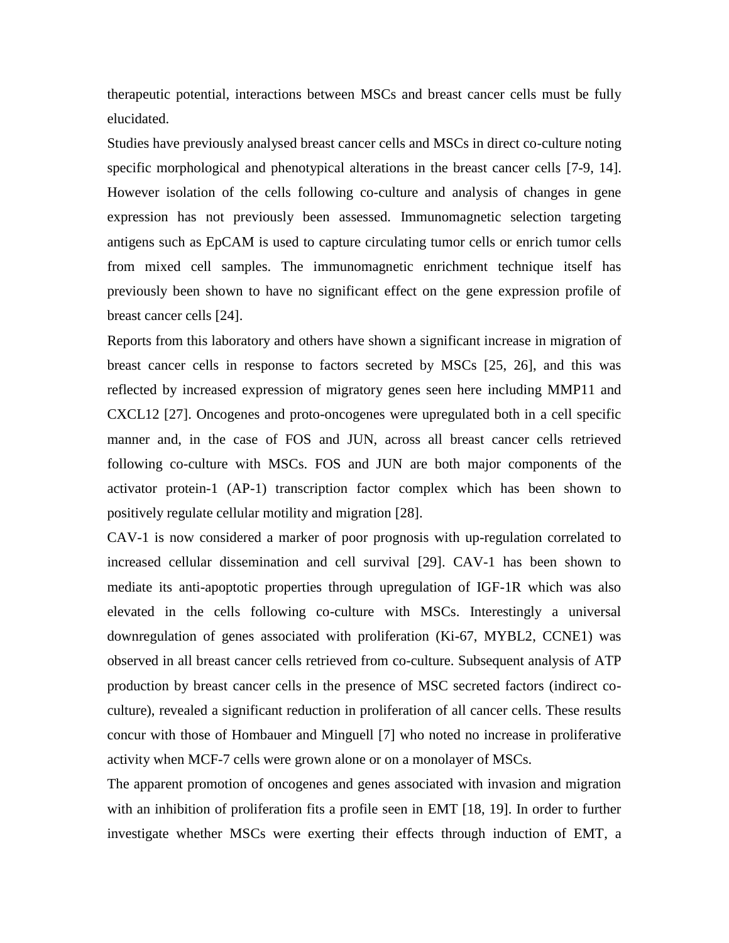therapeutic potential, interactions between MSCs and breast cancer cells must be fully elucidated.

Studies have previously analysed breast cancer cells and MSCs in direct co-culture noting specific morphological and phenotypical alterations in the breast cancer cells [7-9, 14]. However isolation of the cells following co-culture and analysis of changes in gene expression has not previously been assessed. Immunomagnetic selection targeting antigens such as EpCAM is used to capture circulating tumor cells or enrich tumor cells from mixed cell samples. The immunomagnetic enrichment technique itself has previously been shown to have no significant effect on the gene expression profile of breast cancer cells [24].

Reports from this laboratory and others have shown a significant increase in migration of breast cancer cells in response to factors secreted by MSCs [25, 26], and this was reflected by increased expression of migratory genes seen here including MMP11 and CXCL12 [27]. Oncogenes and proto-oncogenes were upregulated both in a cell specific manner and, in the case of FOS and JUN, across all breast cancer cells retrieved following co-culture with MSCs. FOS and JUN are both major components of the activator protein-1 (AP-1) transcription factor complex which has been shown to positively regulate cellular motility and migration [28].

CAV-1 is now considered a marker of poor prognosis with up-regulation correlated to increased cellular dissemination and cell survival [29]. CAV-1 has been shown to mediate its anti-apoptotic properties through upregulation of IGF-1R which was also elevated in the cells following co-culture with MSCs. Interestingly a universal downregulation of genes associated with proliferation (Ki-67, MYBL2, CCNE1) was observed in all breast cancer cells retrieved from co-culture. Subsequent analysis of ATP production by breast cancer cells in the presence of MSC secreted factors (indirect coculture), revealed a significant reduction in proliferation of all cancer cells. These results concur with those of Hombauer and Minguell [7] who noted no increase in proliferative activity when MCF-7 cells were grown alone or on a monolayer of MSCs.

The apparent promotion of oncogenes and genes associated with invasion and migration with an inhibition of proliferation fits a profile seen in EMT [18, 19]. In order to further investigate whether MSCs were exerting their effects through induction of EMT, a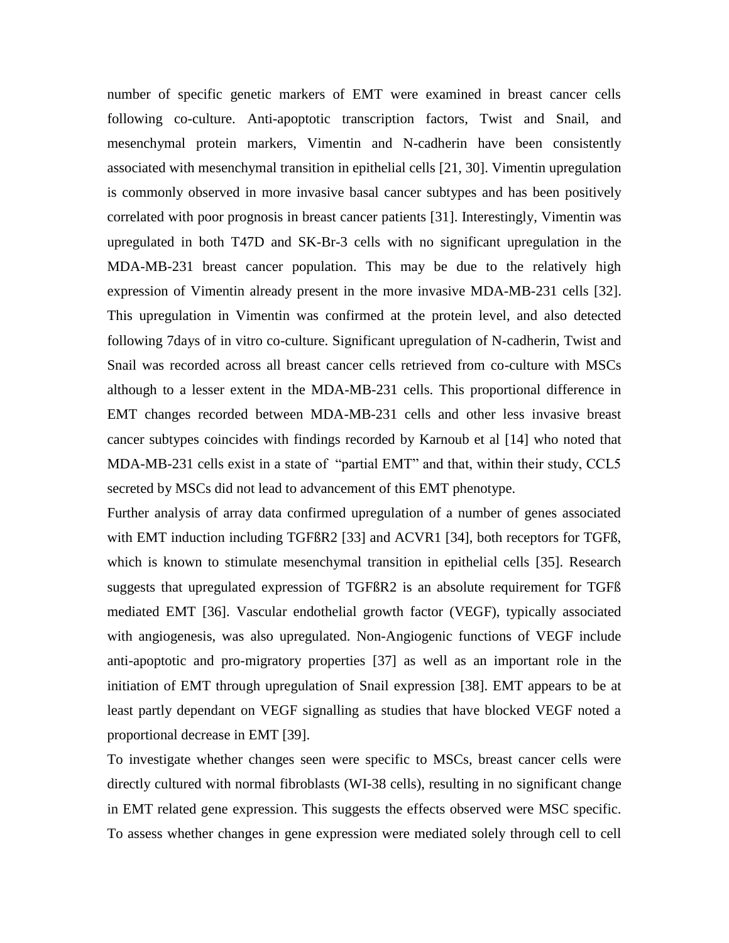number of specific genetic markers of EMT were examined in breast cancer cells following co-culture. Anti-apoptotic transcription factors, Twist and Snail, and mesenchymal protein markers, Vimentin and N-cadherin have been consistently associated with mesenchymal transition in epithelial cells [21, 30]. Vimentin upregulation is commonly observed in more invasive basal cancer subtypes and has been positively correlated with poor prognosis in breast cancer patients [31]. Interestingly, Vimentin was upregulated in both T47D and SK-Br-3 cells with no significant upregulation in the MDA-MB-231 breast cancer population. This may be due to the relatively high expression of Vimentin already present in the more invasive MDA-MB-231 cells [32]. This upregulation in Vimentin was confirmed at the protein level, and also detected following 7days of in vitro co-culture. Significant upregulation of N-cadherin, Twist and Snail was recorded across all breast cancer cells retrieved from co-culture with MSCs although to a lesser extent in the MDA-MB-231 cells. This proportional difference in EMT changes recorded between MDA-MB-231 cells and other less invasive breast cancer subtypes coincides with findings recorded by Karnoub et al [14] who noted that MDA-MB-231 cells exist in a state of "partial EMT" and that, within their study, CCL5 secreted by MSCs did not lead to advancement of this EMT phenotype.

Further analysis of array data confirmed upregulation of a number of genes associated with EMT induction including TGFBR2 [33] and ACVR1 [34], both receptors for TGFB, which is known to stimulate mesenchymal transition in epithelial cells [35]. Research suggests that upregulated expression of TGFßR2 is an absolute requirement for TGFß mediated EMT [36]. Vascular endothelial growth factor (VEGF), typically associated with angiogenesis, was also upregulated. Non-Angiogenic functions of VEGF include anti-apoptotic and pro-migratory properties [37] as well as an important role in the initiation of EMT through upregulation of Snail expression [38]. EMT appears to be at least partly dependant on VEGF signalling as studies that have blocked VEGF noted a proportional decrease in EMT [39].

To investigate whether changes seen were specific to MSCs, breast cancer cells were directly cultured with normal fibroblasts (WI-38 cells), resulting in no significant change in EMT related gene expression. This suggests the effects observed were MSC specific. To assess whether changes in gene expression were mediated solely through cell to cell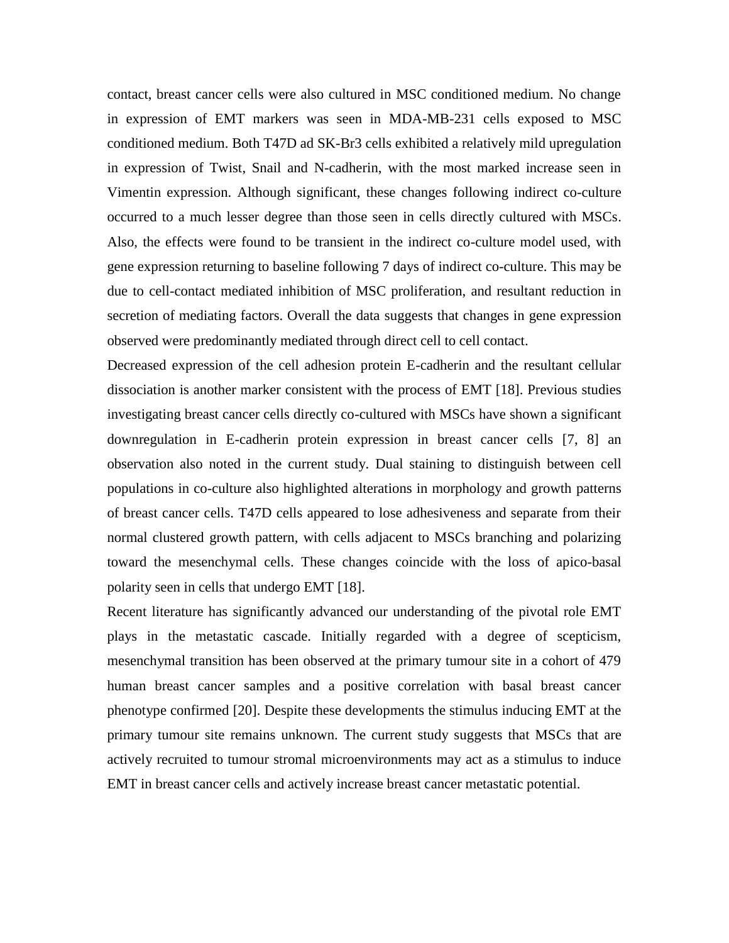contact, breast cancer cells were also cultured in MSC conditioned medium. No change in expression of EMT markers was seen in MDA-MB-231 cells exposed to MSC conditioned medium. Both T47D ad SK-Br3 cells exhibited a relatively mild upregulation in expression of Twist, Snail and N-cadherin, with the most marked increase seen in Vimentin expression. Although significant, these changes following indirect co-culture occurred to a much lesser degree than those seen in cells directly cultured with MSCs. Also, the effects were found to be transient in the indirect co-culture model used, with gene expression returning to baseline following 7 days of indirect co-culture. This may be due to cell-contact mediated inhibition of MSC proliferation, and resultant reduction in secretion of mediating factors. Overall the data suggests that changes in gene expression observed were predominantly mediated through direct cell to cell contact.

Decreased expression of the cell adhesion protein E-cadherin and the resultant cellular dissociation is another marker consistent with the process of EMT [18]. Previous studies investigating breast cancer cells directly co-cultured with MSCs have shown a significant downregulation in E-cadherin protein expression in breast cancer cells [7, 8] an observation also noted in the current study. Dual staining to distinguish between cell populations in co-culture also highlighted alterations in morphology and growth patterns of breast cancer cells. T47D cells appeared to lose adhesiveness and separate from their normal clustered growth pattern, with cells adjacent to MSCs branching and polarizing toward the mesenchymal cells. These changes coincide with the loss of apico-basal polarity seen in cells that undergo EMT [18].

Recent literature has significantly advanced our understanding of the pivotal role EMT plays in the metastatic cascade. Initially regarded with a degree of scepticism, mesenchymal transition has been observed at the primary tumour site in a cohort of 479 human breast cancer samples and a positive correlation with basal breast cancer phenotype confirmed [20]. Despite these developments the stimulus inducing EMT at the primary tumour site remains unknown. The current study suggests that MSCs that are actively recruited to tumour stromal microenvironments may act as a stimulus to induce EMT in breast cancer cells and actively increase breast cancer metastatic potential.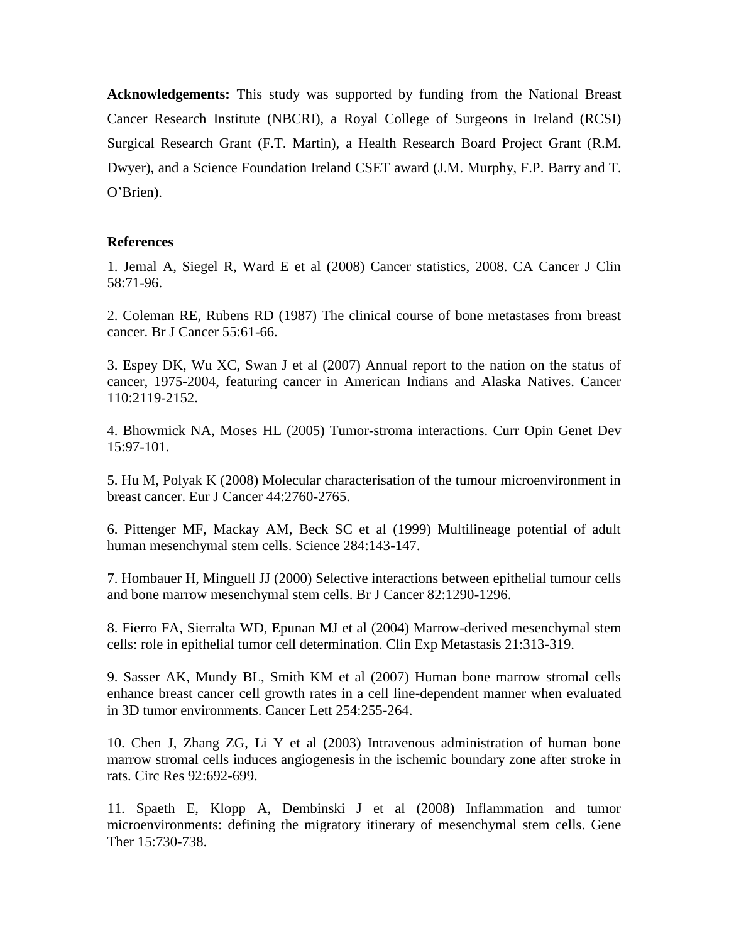**Acknowledgements:** This study was supported by funding from the National Breast Cancer Research Institute (NBCRI), a Royal College of Surgeons in Ireland (RCSI) Surgical Research Grant (F.T. Martin), a Health Research Board Project Grant (R.M. Dwyer), and a Science Foundation Ireland CSET award (J.M. Murphy, F.P. Barry and T. O'Brien).

### **References**

1. Jemal A, Siegel R, Ward E et al (2008) Cancer statistics, 2008. CA Cancer J Clin 58:71-96.

2. Coleman RE, Rubens RD (1987) The clinical course of bone metastases from breast cancer. Br J Cancer 55:61-66.

3. Espey DK, Wu XC, Swan J et al (2007) Annual report to the nation on the status of cancer, 1975-2004, featuring cancer in American Indians and Alaska Natives. Cancer 110:2119-2152.

4. Bhowmick NA, Moses HL (2005) Tumor-stroma interactions. Curr Opin Genet Dev 15:97-101.

5. Hu M, Polyak K (2008) Molecular characterisation of the tumour microenvironment in breast cancer. Eur J Cancer 44:2760-2765.

6. Pittenger MF, Mackay AM, Beck SC et al (1999) Multilineage potential of adult human mesenchymal stem cells. Science 284:143-147.

7. Hombauer H, Minguell JJ (2000) Selective interactions between epithelial tumour cells and bone marrow mesenchymal stem cells. Br J Cancer 82:1290-1296.

8. Fierro FA, Sierralta WD, Epunan MJ et al (2004) Marrow-derived mesenchymal stem cells: role in epithelial tumor cell determination. Clin Exp Metastasis 21:313-319.

9. Sasser AK, Mundy BL, Smith KM et al (2007) Human bone marrow stromal cells enhance breast cancer cell growth rates in a cell line-dependent manner when evaluated in 3D tumor environments. Cancer Lett 254:255-264.

10. Chen J, Zhang ZG, Li Y et al (2003) Intravenous administration of human bone marrow stromal cells induces angiogenesis in the ischemic boundary zone after stroke in rats. Circ Res 92:692-699.

11. Spaeth E, Klopp A, Dembinski J et al (2008) Inflammation and tumor microenvironments: defining the migratory itinerary of mesenchymal stem cells. Gene Ther 15:730-738.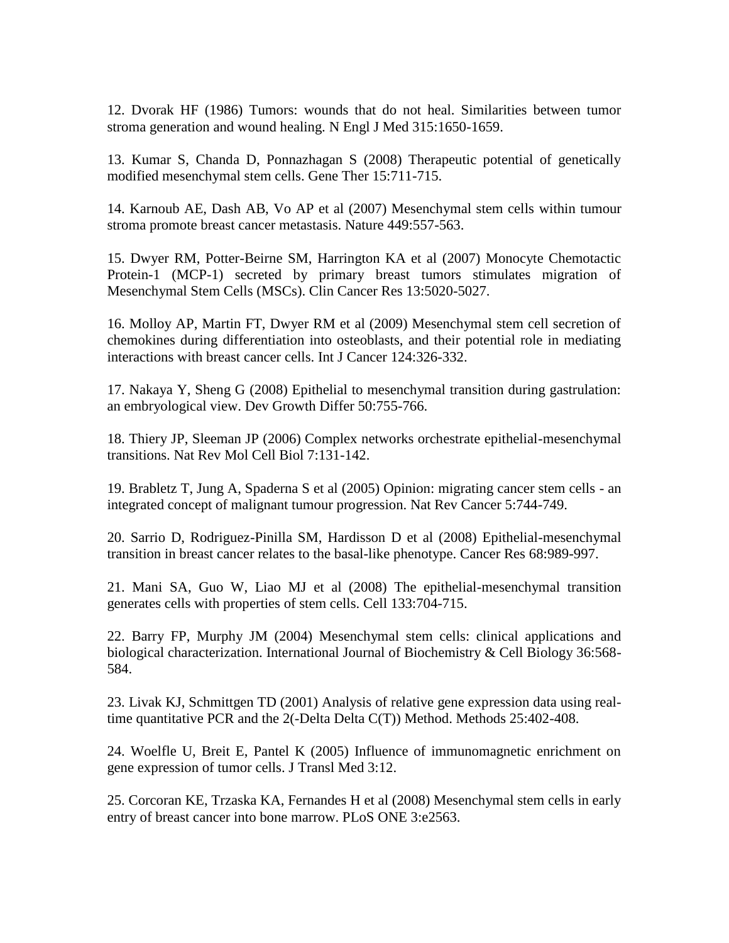12. Dvorak HF (1986) Tumors: wounds that do not heal. Similarities between tumor stroma generation and wound healing. N Engl J Med 315:1650-1659.

13. Kumar S, Chanda D, Ponnazhagan S (2008) Therapeutic potential of genetically modified mesenchymal stem cells. Gene Ther 15:711-715.

14. Karnoub AE, Dash AB, Vo AP et al (2007) Mesenchymal stem cells within tumour stroma promote breast cancer metastasis. Nature 449:557-563.

15. Dwyer RM, Potter-Beirne SM, Harrington KA et al (2007) Monocyte Chemotactic Protein-1 (MCP-1) secreted by primary breast tumors stimulates migration of Mesenchymal Stem Cells (MSCs). Clin Cancer Res 13:5020-5027.

16. Molloy AP, Martin FT, Dwyer RM et al (2009) Mesenchymal stem cell secretion of chemokines during differentiation into osteoblasts, and their potential role in mediating interactions with breast cancer cells. Int J Cancer 124:326-332.

17. Nakaya Y, Sheng G (2008) Epithelial to mesenchymal transition during gastrulation: an embryological view. Dev Growth Differ 50:755-766.

18. Thiery JP, Sleeman JP (2006) Complex networks orchestrate epithelial-mesenchymal transitions. Nat Rev Mol Cell Biol 7:131-142.

19. Brabletz T, Jung A, Spaderna S et al (2005) Opinion: migrating cancer stem cells - an integrated concept of malignant tumour progression. Nat Rev Cancer 5:744-749.

20. Sarrio D, Rodriguez-Pinilla SM, Hardisson D et al (2008) Epithelial-mesenchymal transition in breast cancer relates to the basal-like phenotype. Cancer Res 68:989-997.

21. Mani SA, Guo W, Liao MJ et al (2008) The epithelial-mesenchymal transition generates cells with properties of stem cells. Cell 133:704-715.

22. Barry FP, Murphy JM (2004) Mesenchymal stem cells: clinical applications and biological characterization. International Journal of Biochemistry & Cell Biology 36:568- 584.

23. Livak KJ, Schmittgen TD (2001) Analysis of relative gene expression data using realtime quantitative PCR and the 2(-Delta Delta C(T)) Method. Methods 25:402-408.

24. Woelfle U, Breit E, Pantel K (2005) Influence of immunomagnetic enrichment on gene expression of tumor cells. J Transl Med 3:12.

25. Corcoran KE, Trzaska KA, Fernandes H et al (2008) Mesenchymal stem cells in early entry of breast cancer into bone marrow. PLoS ONE 3:e2563.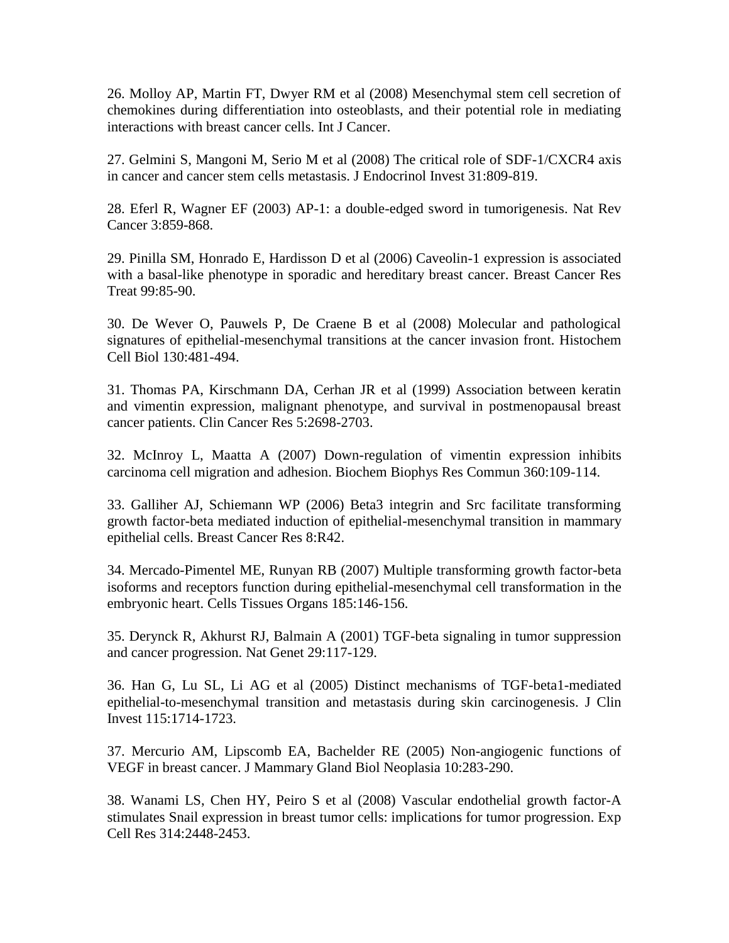26. Molloy AP, Martin FT, Dwyer RM et al (2008) Mesenchymal stem cell secretion of chemokines during differentiation into osteoblasts, and their potential role in mediating interactions with breast cancer cells. Int J Cancer.

27. Gelmini S, Mangoni M, Serio M et al (2008) The critical role of SDF-1/CXCR4 axis in cancer and cancer stem cells metastasis. J Endocrinol Invest 31:809-819.

28. Eferl R, Wagner EF (2003) AP-1: a double-edged sword in tumorigenesis. Nat Rev Cancer 3:859-868.

29. Pinilla SM, Honrado E, Hardisson D et al (2006) Caveolin-1 expression is associated with a basal-like phenotype in sporadic and hereditary breast cancer. Breast Cancer Res Treat 99:85-90.

30. De Wever O, Pauwels P, De Craene B et al (2008) Molecular and pathological signatures of epithelial-mesenchymal transitions at the cancer invasion front. Histochem Cell Biol 130:481-494.

31. Thomas PA, Kirschmann DA, Cerhan JR et al (1999) Association between keratin and vimentin expression, malignant phenotype, and survival in postmenopausal breast cancer patients. Clin Cancer Res 5:2698-2703.

32. McInroy L, Maatta A (2007) Down-regulation of vimentin expression inhibits carcinoma cell migration and adhesion. Biochem Biophys Res Commun 360:109-114.

33. Galliher AJ, Schiemann WP (2006) Beta3 integrin and Src facilitate transforming growth factor-beta mediated induction of epithelial-mesenchymal transition in mammary epithelial cells. Breast Cancer Res 8:R42.

34. Mercado-Pimentel ME, Runyan RB (2007) Multiple transforming growth factor-beta isoforms and receptors function during epithelial-mesenchymal cell transformation in the embryonic heart. Cells Tissues Organs 185:146-156.

35. Derynck R, Akhurst RJ, Balmain A (2001) TGF-beta signaling in tumor suppression and cancer progression. Nat Genet 29:117-129.

36. Han G, Lu SL, Li AG et al (2005) Distinct mechanisms of TGF-beta1-mediated epithelial-to-mesenchymal transition and metastasis during skin carcinogenesis. J Clin Invest 115:1714-1723.

37. Mercurio AM, Lipscomb EA, Bachelder RE (2005) Non-angiogenic functions of VEGF in breast cancer. J Mammary Gland Biol Neoplasia 10:283-290.

38. Wanami LS, Chen HY, Peiro S et al (2008) Vascular endothelial growth factor-A stimulates Snail expression in breast tumor cells: implications for tumor progression. Exp Cell Res 314:2448-2453.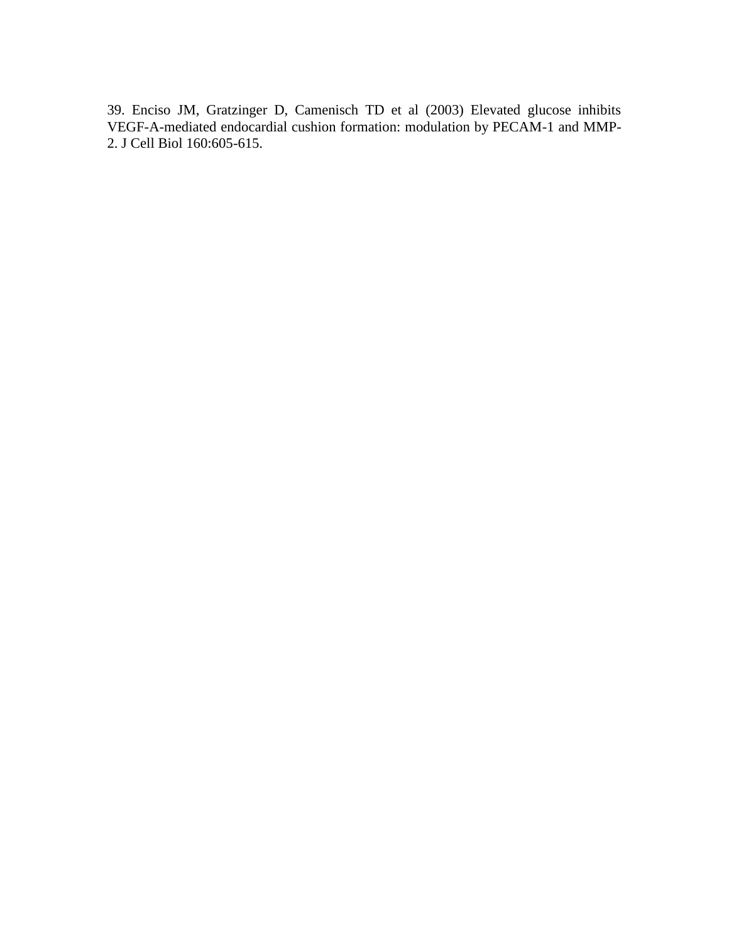39. Enciso JM, Gratzinger D, Camenisch TD et al (2003) Elevated glucose inhibits VEGF-A-mediated endocardial cushion formation: modulation by PECAM-1 and MMP-2. J Cell Biol 160:605-615.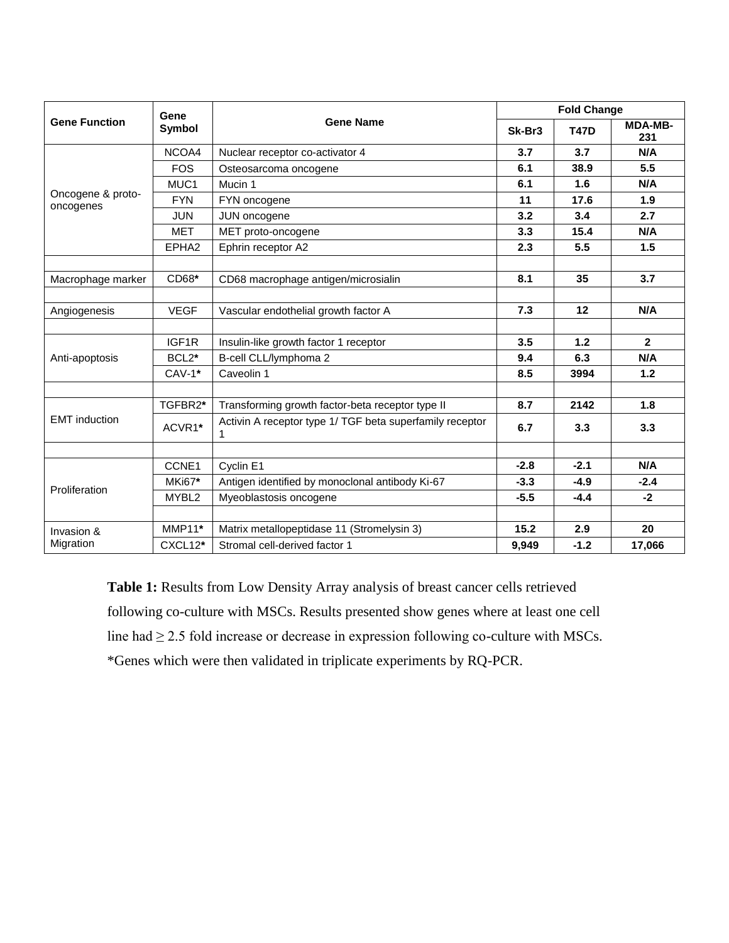| <b>Gene Function</b>           | Gene<br>Symbol     | <b>Gene Name</b>                                              | <b>Fold Change</b> |             |                       |
|--------------------------------|--------------------|---------------------------------------------------------------|--------------------|-------------|-----------------------|
|                                |                    |                                                               | Sk-Br3             | <b>T47D</b> | <b>MDA-MB-</b><br>231 |
| Oncogene & proto-<br>oncogenes | NCOA4              | Nuclear receptor co-activator 4                               | 3.7                | 3.7         | N/A                   |
|                                | <b>FOS</b>         | Osteosarcoma oncogene                                         | 6.1                | 38.9        | 5.5                   |
|                                | MUC <sub>1</sub>   | Mucin 1                                                       | 6.1                | 1.6         | N/A                   |
|                                | <b>FYN</b>         | FYN oncogene                                                  | 11                 | 17.6        | 1.9                   |
|                                | <b>JUN</b>         | JUN oncogene                                                  | 3.2                | 3.4         | 2.7                   |
|                                | <b>MET</b>         | MET proto-oncogene                                            | 3.3                | 15.4        | N/A                   |
|                                | EPHA <sub>2</sub>  | Ephrin receptor A2                                            | 2.3                | 5.5         | 1.5                   |
|                                |                    |                                                               |                    |             |                       |
| Macrophage marker              | CD68*              | CD68 macrophage antigen/microsialin                           | 8.1                | 35          | 3.7                   |
|                                |                    |                                                               |                    |             |                       |
| Angiogenesis                   | <b>VEGF</b>        | Vascular endothelial growth factor A                          | 7.3                | 12          | N/A                   |
|                                |                    |                                                               |                    |             |                       |
| Anti-apoptosis                 | IGF1R              | Insulin-like growth factor 1 receptor                         | 3.5                | 1.2         | $\mathbf{2}$          |
|                                | BCL <sub>2</sub> * | B-cell CLL/lymphoma 2                                         | 9.4                | 6.3         | N/A                   |
|                                | $CAV-1*$           | Caveolin 1                                                    | 8.5                | 3994        | 1.2                   |
|                                |                    |                                                               |                    |             |                       |
| <b>EMT</b> induction           | TGFBR2*            | Transforming growth factor-beta receptor type II              | 8.7                | 2142        | 1.8                   |
|                                | ACVR1*             | Activin A receptor type 1/ TGF beta superfamily receptor<br>1 | 6.7                | 3.3         | 3.3                   |
|                                |                    |                                                               |                    |             |                       |
| Proliferation                  | CCNE1              | Cyclin E1                                                     | $-2.8$             | $-2.1$      | N/A                   |
|                                | MKi67*             | Antigen identified by monoclonal antibody Ki-67               | $-3.3$             | $-4.9$      | $-2.4$                |
|                                | MYBL2              | Myeoblastosis oncogene                                        | $-5.5$             | $-4.4$      | $-2$                  |
|                                |                    |                                                               |                    |             |                       |
| Invasion &<br>Migration        | $MMP11*$           | Matrix metallopeptidase 11 (Stromelysin 3)                    | 15.2               | 2.9         | 20                    |
|                                | CXCL12*            | Stromal cell-derived factor 1                                 | 9,949              | $-1.2$      | 17,066                |

**Table 1:** Results from Low Density Array analysis of breast cancer cells retrieved following co-culture with MSCs. Results presented show genes where at least one cell line had ≥ 2.5 fold increase or decrease in expression following co-culture with MSCs. \*Genes which were then validated in triplicate experiments by RQ-PCR.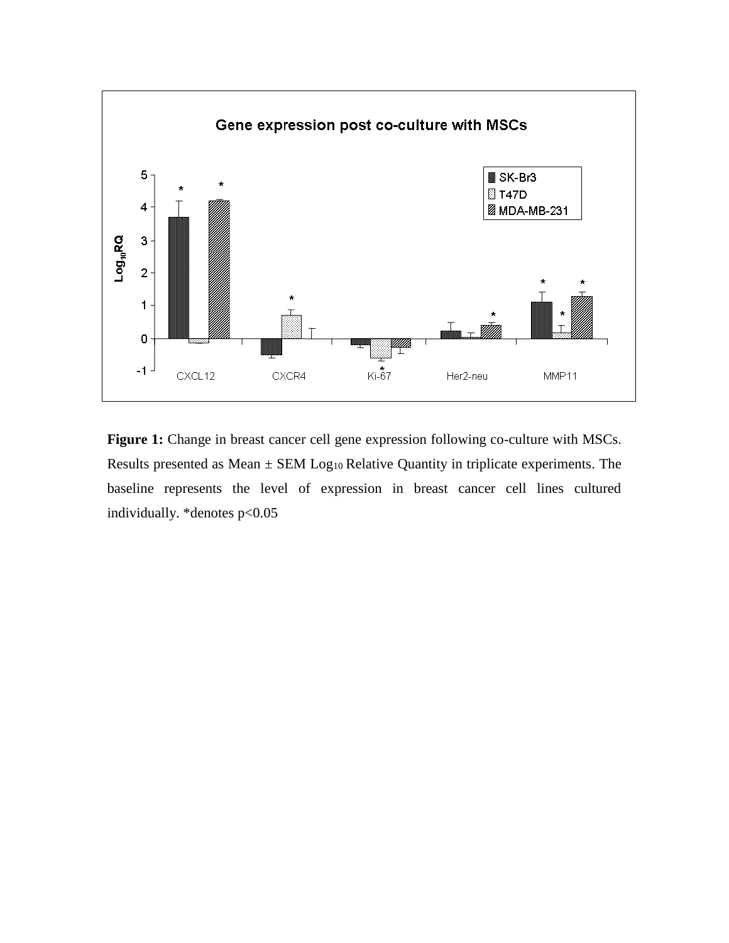

Figure 1: Change in breast cancer cell gene expression following co-culture with MSCs. Results presented as Mean  $\pm$  SEM Log<sub>10</sub> Relative Quantity in triplicate experiments. The baseline represents the level of expression in breast cancer cell lines cultured individually. \*denotes p<0.05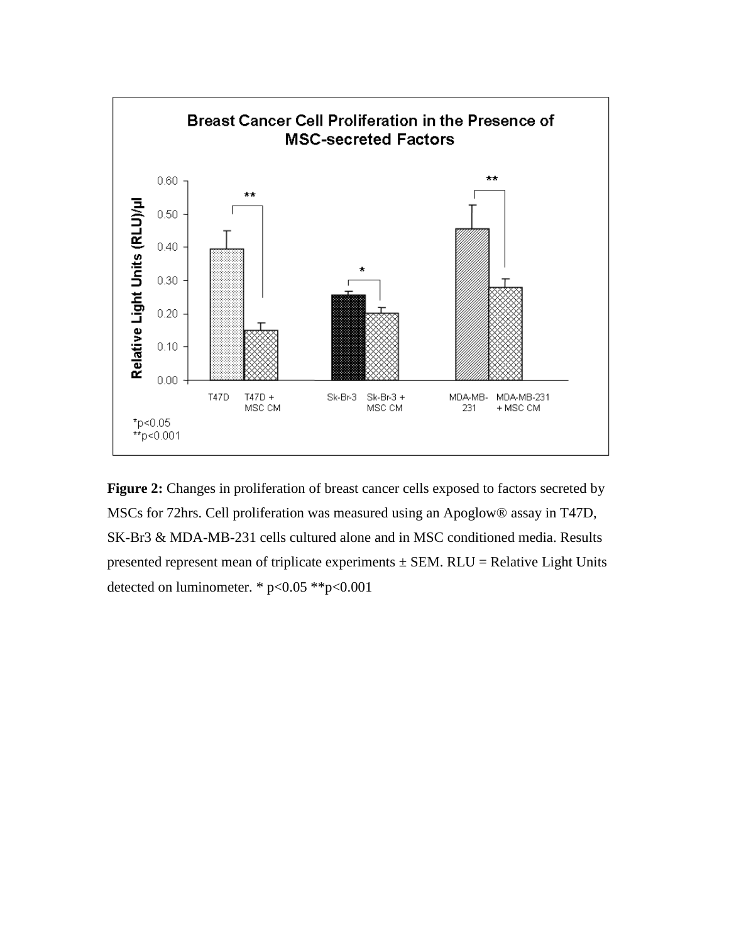

**Figure 2:** Changes in proliferation of breast cancer cells exposed to factors secreted by MSCs for 72hrs. Cell proliferation was measured using an Apoglow® assay in T47D, SK-Br3 & MDA-MB-231 cells cultured alone and in MSC conditioned media. Results presented represent mean of triplicate experiments  $\pm$  SEM. RLU = Relative Light Units detected on luminometer. \* p<0.05 \*\*p<0.001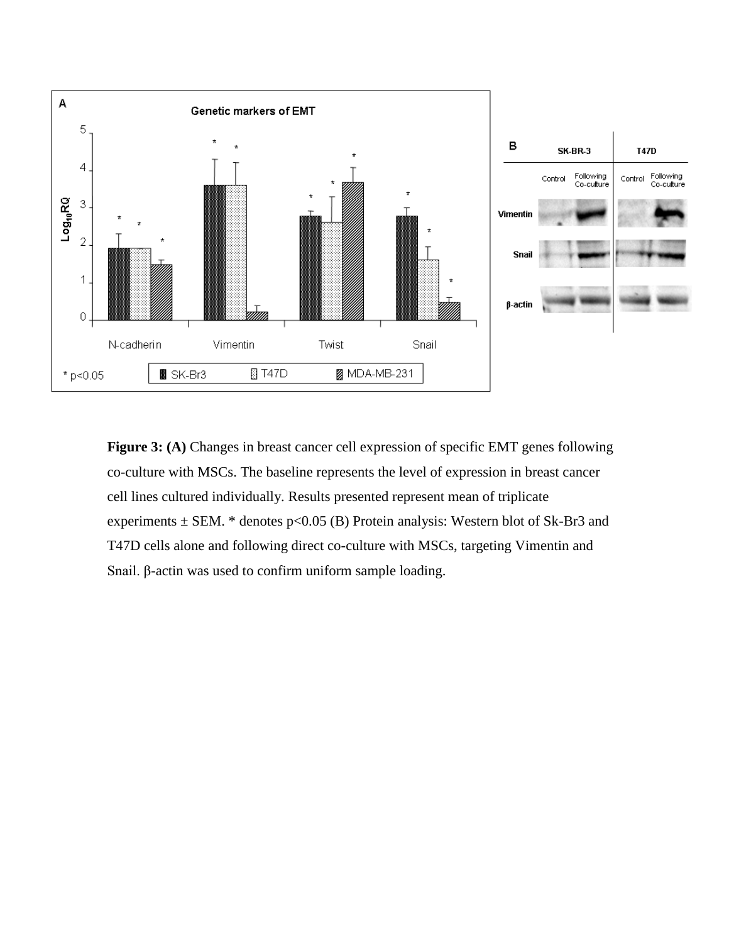

**Figure 3:** (A) Changes in breast cancer cell expression of specific EMT genes following co-culture with MSCs. The baseline represents the level of expression in breast cancer cell lines cultured individually. Results presented represent mean of triplicate experiments  $\pm$  SEM. \* denotes p<0.05 (B) Protein analysis: Western blot of Sk-Br3 and T47D cells alone and following direct co-culture with MSCs, targeting Vimentin and Snail. β-actin was used to confirm uniform sample loading.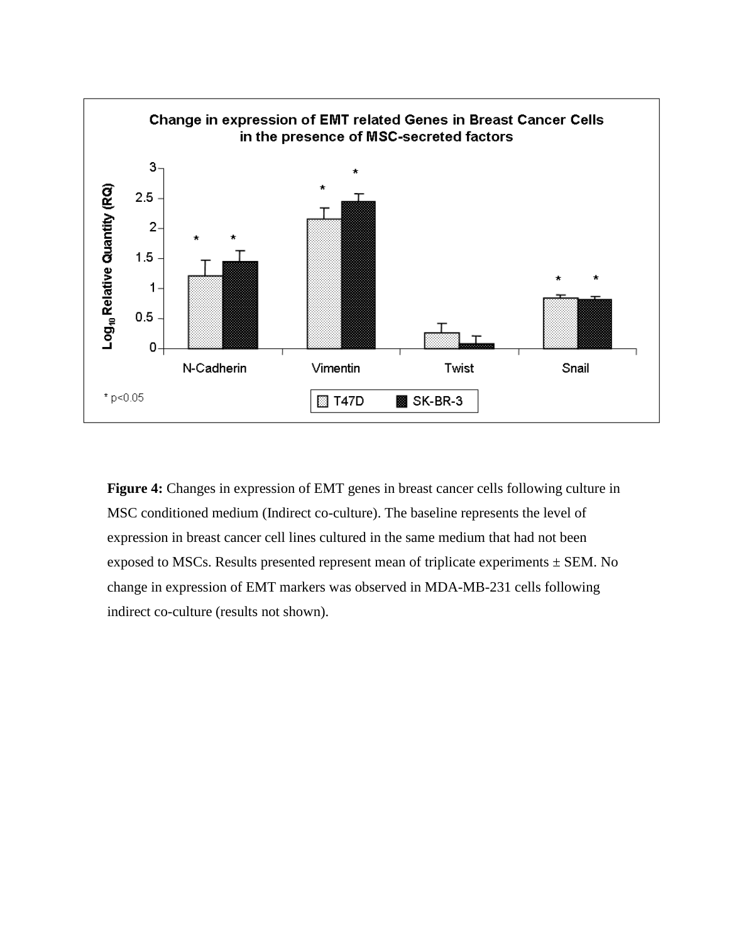

**Figure 4:** Changes in expression of EMT genes in breast cancer cells following culture in MSC conditioned medium (Indirect co-culture). The baseline represents the level of expression in breast cancer cell lines cultured in the same medium that had not been exposed to MSCs. Results presented represent mean of triplicate experiments  $\pm$  SEM. No change in expression of EMT markers was observed in MDA-MB-231 cells following indirect co-culture (results not shown).